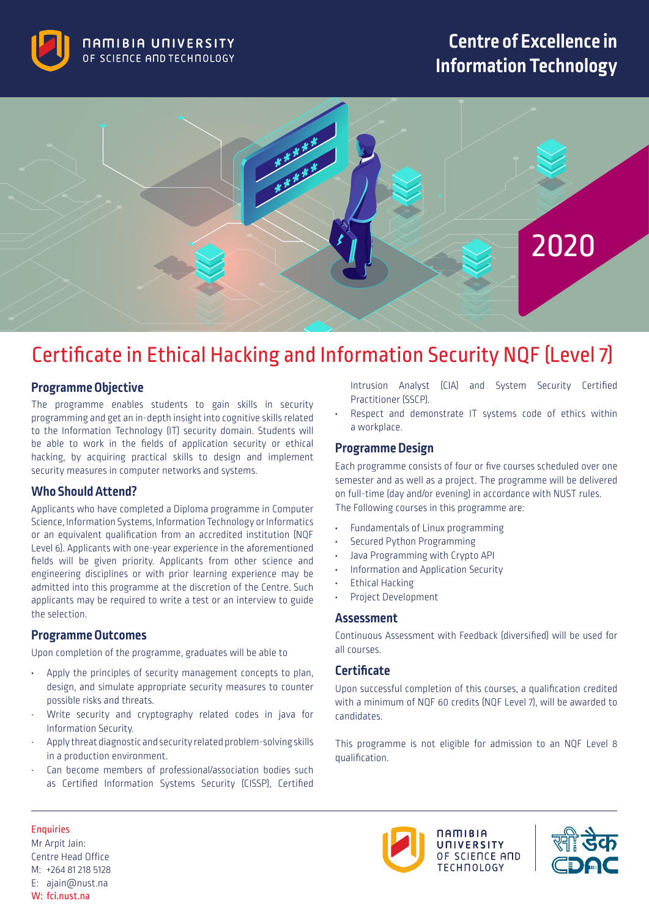

## **Centre of Excellence in Information Technology**



# Certificate in Ethical Hacking and Information Security NQF (Level 7)

### **Programme Objective**

The programme enables students to gain skills in security programming and get an in-depth insight into cognitive skills related to the Information Technology (IT) security domain. Students will be able to work in the fields of application security or ethical hacking, by acquiring practical skills to design and implement security measures in computer networks and systems.

#### **Who Should Attend?**

Applicants who have completed a Diploma programme in Computer Science, Information Systems, Information Technology or Informatics or an equivalent qualification from an accredited institution (NQF Level 6). Applicants with one-year experience in the aforementioned fields will be given priority. Applicants from other science and engineering disciplines or with prior learning experience may be admitted into this programme at the discretion of the Centre. Such applicants may be required to write a test or an interview to guide the selection.

#### **Programme Outcomes**

Upon completion of the programme, graduates will be able to

- **•** Apply the principles of security management concepts to plan, design, and simulate appropriate security measures to counter possible risks and threats.
- Write security and cryptography related codes in java for Information Security.
- Apply threat diagnostic and security related problem-solving skills in a production environment.
- Can become members of professional/association bodies such as Certified Information Systems Security (CISSP), Certified

Intrusion Analyst (CIA) and System Security Certified Practitioner (SSCP).

**•** Respect and demonstrate IT systems code of ethics within a workplace.

### **Programme Design**

Each programme consists of four or five courses scheduled over one semester and as well as a project. The programme will be delivered on full-time (day and/or evening) in accordance with NUST rules. The Following courses in this programme are:

- **•** Fundamentals of Linux programming
- **•** Secured Python Programming
- **•** Java Programming with Crypto API
- **•** Information and Application Security
- **•** Ethical Hacking
- **•** Project Development

#### **Assessment**

Continuous Assessment with Feedback (diversified) will be used for all courses.

#### **Certificate**

Upon successful completion of this courses, a qualification credited with a minimum of NQF 60 credits (NQF Level 7), will be awarded to candidates.

This programme is not eligible for admission to an NQF Level 8 qualification.

#### Enquiries

Mr Arpit Jain: Centre Head Office M: +264 81 218 5128 E: ajain@nust.na W: fci.nust.na



 $n$ amibia UNIVERSITY OF SCIENCE AND **TECHOOLOGY** 

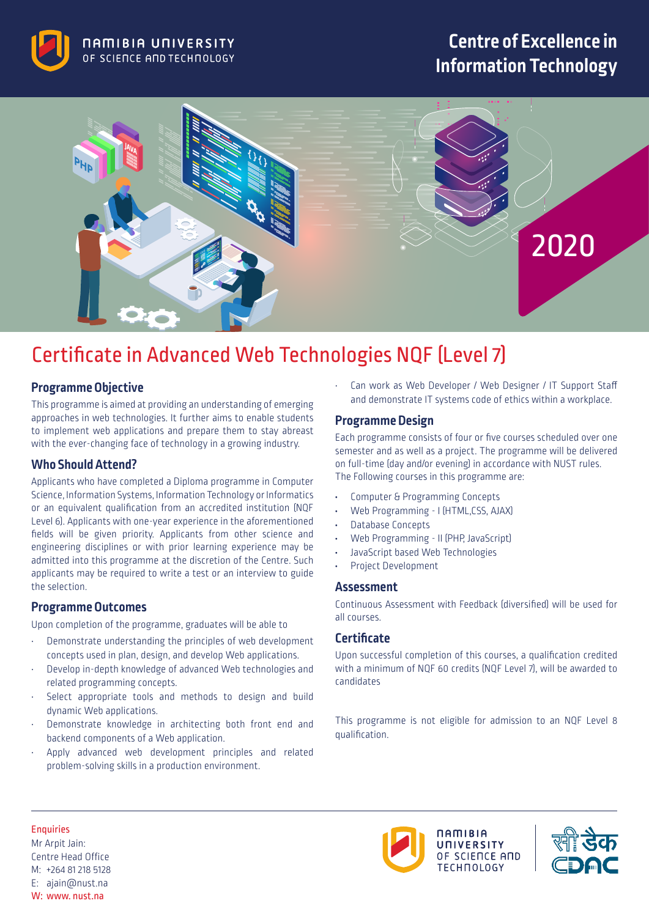

## **Centre of Excellence in Information Technology**



# Certificate in Advanced Web Technologies NQF (Level 7)

## **Programme Objective**

This programme is aimed at providing an understanding of emerging approaches in web technologies. It further aims to enable students to implement web applications and prepare them to stay abreast with the ever-changing face of technology in a growing industry.

### **Who Should Attend?**

Applicants who have completed a Diploma programme in Computer Science, Information Systems, Information Technology or Informatics or an equivalent qualification from an accredited institution (NQF Level 6). Applicants with one-year experience in the aforementioned fields will be given priority. Applicants from other science and engineering disciplines or with prior learning experience may be admitted into this programme at the discretion of the Centre. Such applicants may be required to write a test or an interview to guide the selection.

## **Programme Outcomes**

Upon completion of the programme, graduates will be able to

- Demonstrate understanding the principles of web development concepts used in plan, design, and develop Web applications.
- Develop in-depth knowledge of advanced Web technologies and related programming concepts.
- Select appropriate tools and methods to design and build dynamic Web applications.
- Demonstrate knowledge in architecting both front end and backend components of a Web application.
- Apply advanced web development principles and related problem-solving skills in a production environment.

Can work as Web Developer / Web Designer / IT Support Staff and demonstrate IT systems code of ethics within a workplace.

### **Programme Design**

Each programme consists of four or five courses scheduled over one semester and as well as a project. The programme will be delivered on full-time (day and/or evening) in accordance with NUST rules. The Following courses in this programme are:

- **•** Computer & Programming Concepts
- **•** Web Programming I (HTML,CSS, AJAX)
- **•** Database Concepts
- **•** Web Programming II (PHP, JavaScript)
- **•** JavaScript based Web Technologies
- **•** Project Development

#### **Assessment**

Continuous Assessment with Feedback (diversified) will be used for all courses.

## **Certificate**

Upon successful completion of this courses, a qualification credited with a minimum of NQF 60 credits (NQF Level 7), will be awarded to candidates

This programme is not eligible for admission to an NQF Level 8 qualification.



Mr Arpit Jain: Centre Head Office M: +264 81 218 5128 E: ajain@nust.na W: www. nust.na